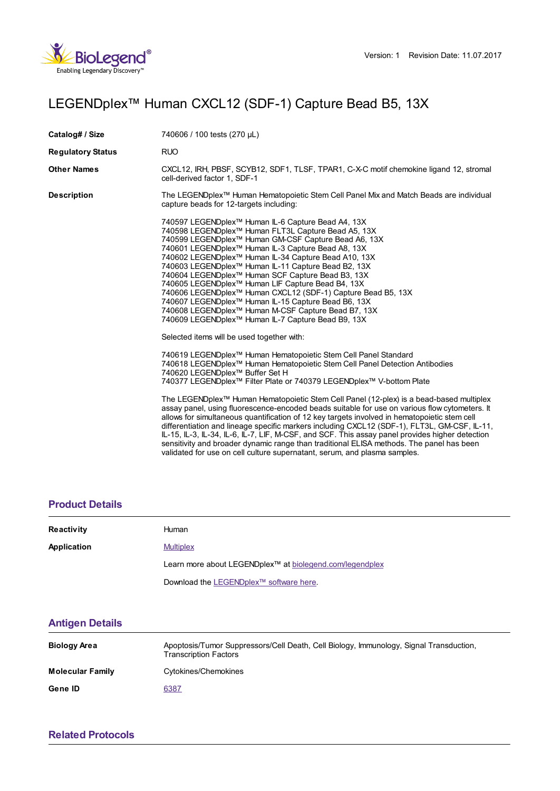

## LEGENDplex™ Human CXCL12 (SDF-1) Capture Bead B5, 13X

| Catalog# / Size          | 740606 / 100 tests (270 µL)                                                                                                                                                                                                                                                                                                                                                                                                                                                                                                                                                                                                                                                                                                                                                                                                                                                                                                                                                                                                                                                                                                                                                                                                                                                                                                                                                                                                                                                                                                                                                                                                                                                                                                                                 |
|--------------------------|-------------------------------------------------------------------------------------------------------------------------------------------------------------------------------------------------------------------------------------------------------------------------------------------------------------------------------------------------------------------------------------------------------------------------------------------------------------------------------------------------------------------------------------------------------------------------------------------------------------------------------------------------------------------------------------------------------------------------------------------------------------------------------------------------------------------------------------------------------------------------------------------------------------------------------------------------------------------------------------------------------------------------------------------------------------------------------------------------------------------------------------------------------------------------------------------------------------------------------------------------------------------------------------------------------------------------------------------------------------------------------------------------------------------------------------------------------------------------------------------------------------------------------------------------------------------------------------------------------------------------------------------------------------------------------------------------------------------------------------------------------------|
| <b>Regulatory Status</b> | <b>RUO</b>                                                                                                                                                                                                                                                                                                                                                                                                                                                                                                                                                                                                                                                                                                                                                                                                                                                                                                                                                                                                                                                                                                                                                                                                                                                                                                                                                                                                                                                                                                                                                                                                                                                                                                                                                  |
| Other Names              | CXCL12, IRH, PBSF, SCYB12, SDF1, TLSF, TPAR1, C-X-C motif chemokine ligand 12, stromal<br>cell-derived factor 1, SDF-1                                                                                                                                                                                                                                                                                                                                                                                                                                                                                                                                                                                                                                                                                                                                                                                                                                                                                                                                                                                                                                                                                                                                                                                                                                                                                                                                                                                                                                                                                                                                                                                                                                      |
| Description              | The LEGENDplex™ Human Hematopoietic Stem Cell Panel Mix and Match Beads are individual<br>capture beads for 12-targets including:                                                                                                                                                                                                                                                                                                                                                                                                                                                                                                                                                                                                                                                                                                                                                                                                                                                                                                                                                                                                                                                                                                                                                                                                                                                                                                                                                                                                                                                                                                                                                                                                                           |
|                          | 740597 LEGENDplex <sup>™</sup> Human IL-6 Capture Bead A4, 13X<br>740598 LEGENDplex™ Human FLT3L Capture Bead A5, 13X<br>740599 LEGENDplex <sup>™</sup> Human GM-CSF Capture Bead A6, 13X<br>740601 LEGENDplex <sup>™</sup> Human IL-3 Capture Bead A8, 13X<br>740602 LEGENDplex <sup>™</sup> Human IL-34 Capture Bead A10, 13X<br>740603 LEGENDplex™ Human IL-11 Capture Bead B2, 13X<br>740604 LEGENDplex™ Human SCF Capture Bead B3, 13X<br>740605 LEGENDplex™ Human LIF Capture Bead B4, 13X<br>740606 LEGENDplex™ Human CXCL12 (SDF-1) Capture Bead B5, 13X<br>740607 LEGENDplex™ Human IL-15 Capture Bead B6, 13X<br>740608 LEGENDplex <sup>™</sup> Human M-CSF Capture Bead B7, 13X<br>740609 LEGENDplex <sup>™</sup> Human IL-7 Capture Bead B9, 13X<br>Selected items will be used together with:<br>740619 LEGENDplex <sup>™</sup> Human Hematopoietic Stem Cell Panel Standard<br>740618 LEGENDplex™ Human Hematopoietic Stem Cell Panel Detection Antibodies<br>740620 LEGENDplex™ Buffer Set H<br>740377 LEGENDplex™ Filter Plate or 740379 LEGENDplex™ V-bottom Plate<br>The LEGENDplex™ Human Hematopoietic Stem Cell Panel (12-plex) is a bead-based multiplex<br>assay panel, using fluorescence-encoded beads suitable for use on various flow cytometers. It<br>allows for simultaneous quantification of 12 key targets involved in hematopoietic stem cell<br>differentiation and lineage specific markers including CXCL12 (SDF-1), FLT3L, GM-CSF, IL-11,<br>IL-15, IL-3, IL-34, IL-6, IL-7, LIF, M-CSF, and SCF. This assay panel provides higher detection<br>sensitivity and broader dynamic range than traditional ELISA methods. The panel has been<br>validated for use on cell culture supernatant, serum, and plasma samples. |

## **[Product](https://production-dynamicweb.biolegend.com/de-de/products/legendplex-human-cxcl12-sdf-1-capture-bead-b5-13x-15014?pdf=true&displayInline=true&leftRightMargin=15&topBottomMargin=15&filename=LEGENDplex%EF%BF%BD%EF%BF%BD%EF%BF%BD Human CXCL12 (SDF-1) Capture Bead B5, 13X.pdf#productDetails) Details**

| <b>Reactivity</b> | <b>Human</b>                                                         |
|-------------------|----------------------------------------------------------------------|
| Application       | <b>Multiplex</b>                                                     |
|                   | Learn more about LEGENDplex <sup>™</sup> at biolegend.com/legendplex |
|                   | Download the LEGENDplex™ software here.                              |

## **[Antigen](https://production-dynamicweb.biolegend.com/de-de/products/legendplex-human-cxcl12-sdf-1-capture-bead-b5-13x-15014?pdf=true&displayInline=true&leftRightMargin=15&topBottomMargin=15&filename=LEGENDplex%EF%BF%BD%EF%BF%BD%EF%BF%BD Human CXCL12 (SDF-1) Capture Bead B5, 13X.pdf#antigenDetails) Details**

| <b>Biology Area</b>     | Apoptosis/Tumor Suppressors/Cell Death, Cell Biology, Immunology, Signal Transduction,<br><b>Transcription Factors</b> |
|-------------------------|------------------------------------------------------------------------------------------------------------------------|
| <b>Molecular Family</b> | Cytokines/Chemokines                                                                                                   |
| Gene ID                 | 6387                                                                                                                   |